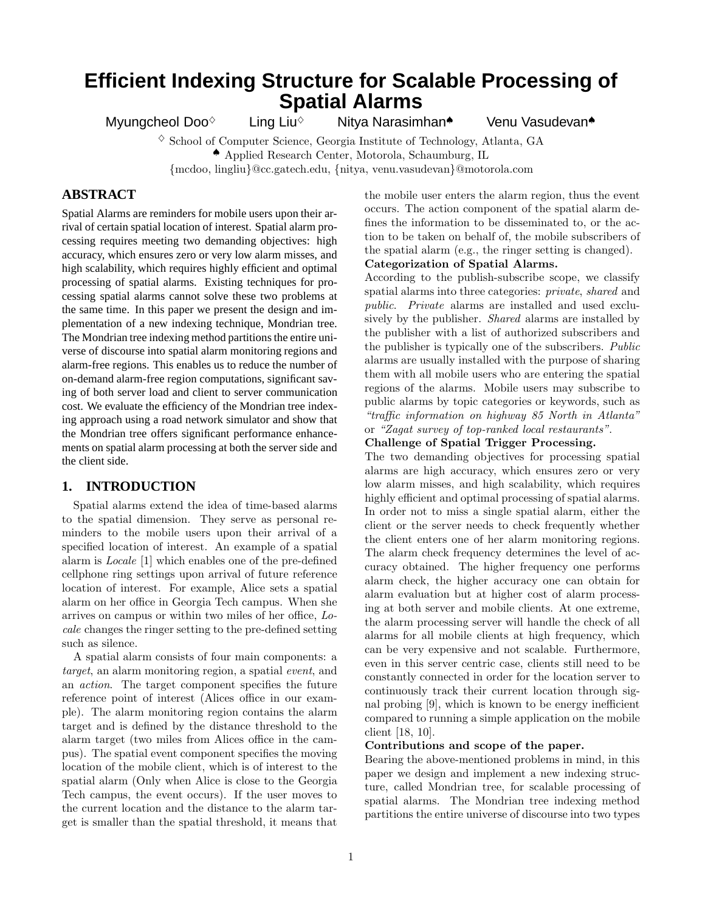# **Efficient Indexing Structure for Scalable Processing of Spatial Alarms**

Myungcheol Doo<sup>◇</sup> Ling Liu<sup>◇</sup> Nitya Narasimhan◆ Venu Vasudevan◆

 $\Diamond$  School of Computer Science, Georgia Institute of Technology, Atlanta, GA ♠ Applied Research Center, Motorola, Schaumburg, IL

{mcdoo, lingliu}@cc.gatech.edu, {nitya, venu.vasudevan}@motorola.com

# **ABSTRACT**

Spatial Alarms are reminders for mobile users upon their arrival of certain spatial location of interest. Spatial alarm processing requires meeting two demanding objectives: high accuracy, which ensures zero or very low alarm misses, and high scalability, which requires highly efficient and optimal processing of spatial alarms. Existing techniques for processing spatial alarms cannot solve these two problems at the same time. In this paper we present the design and implementation of a new indexing technique, Mondrian tree. The Mondrian tree indexing method partitions the entire universe of discourse into spatial alarm monitoring regions and alarm-free regions. This enables us to reduce the number of on-demand alarm-free region computations, significant saving of both server load and client to server communication cost. We evaluate the efficiency of the Mondrian tree indexing approach using a road network simulator and show that the Mondrian tree offers significant performance enhancements on spatial alarm processing at both the server side and the client side.

## **1. INTRODUCTION**

Spatial alarms extend the idea of time-based alarms to the spatial dimension. They serve as personal reminders to the mobile users upon their arrival of a specified location of interest. An example of a spatial alarm is Locale [1] which enables one of the pre-defined cellphone ring settings upon arrival of future reference location of interest. For example, Alice sets a spatial alarm on her office in Georgia Tech campus. When she arrives on campus or within two miles of her office, Locale changes the ringer setting to the pre-defined setting such as silence.

A spatial alarm consists of four main components: a target, an alarm monitoring region, a spatial event, and an action. The target component specifies the future reference point of interest (Alices office in our example). The alarm monitoring region contains the alarm target and is defined by the distance threshold to the alarm target (two miles from Alices office in the campus). The spatial event component specifies the moving location of the mobile client, which is of interest to the spatial alarm (Only when Alice is close to the Georgia Tech campus, the event occurs). If the user moves to the current location and the distance to the alarm target is smaller than the spatial threshold, it means that

the mobile user enters the alarm region, thus the event occurs. The action component of the spatial alarm defines the information to be disseminated to, or the action to be taken on behalf of, the mobile subscribers of the spatial alarm (e.g., the ringer setting is changed). Categorization of Spatial Alarms.

According to the publish-subscribe scope, we classify spatial alarms into three categories: private, shared and public. Private alarms are installed and used exclusively by the publisher. Shared alarms are installed by the publisher with a list of authorized subscribers and the publisher is typically one of the subscribers. Public alarms are usually installed with the purpose of sharing them with all mobile users who are entering the spatial regions of the alarms. Mobile users may subscribe to public alarms by topic categories or keywords, such as "traffic information on highway 85 North in Atlanta" or "Zagat survey of top-ranked local restaurants".

#### Challenge of Spatial Trigger Processing.

The two demanding objectives for processing spatial alarms are high accuracy, which ensures zero or very low alarm misses, and high scalability, which requires highly efficient and optimal processing of spatial alarms. In order not to miss a single spatial alarm, either the client or the server needs to check frequently whether the client enters one of her alarm monitoring regions. The alarm check frequency determines the level of accuracy obtained. The higher frequency one performs alarm check, the higher accuracy one can obtain for alarm evaluation but at higher cost of alarm processing at both server and mobile clients. At one extreme, the alarm processing server will handle the check of all alarms for all mobile clients at high frequency, which can be very expensive and not scalable. Furthermore, even in this server centric case, clients still need to be constantly connected in order for the location server to continuously track their current location through signal probing [9], which is known to be energy inefficient compared to running a simple application on the mobile client [18, 10].

#### Contributions and scope of the paper.

Bearing the above-mentioned problems in mind, in this paper we design and implement a new indexing structure, called Mondrian tree, for scalable processing of spatial alarms. The Mondrian tree indexing method partitions the entire universe of discourse into two types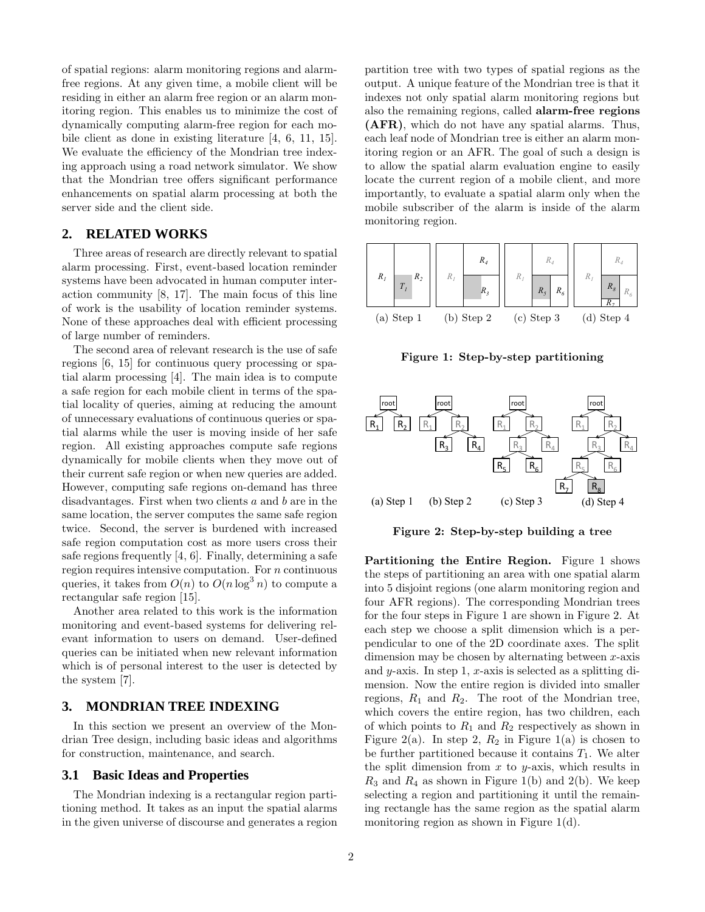of spatial regions: alarm monitoring regions and alarmfree regions. At any given time, a mobile client will be residing in either an alarm free region or an alarm monitoring region. This enables us to minimize the cost of dynamically computing alarm-free region for each mobile client as done in existing literature [4, 6, 11, 15]. We evaluate the efficiency of the Mondrian tree indexing approach using a road network simulator. We show that the Mondrian tree offers significant performance enhancements on spatial alarm processing at both the server side and the client side.

## **2. RELATED WORKS**

Three areas of research are directly relevant to spatial alarm processing. First, event-based location reminder systems have been advocated in human computer interaction community [8, 17]. The main focus of this line of work is the usability of location reminder systems. None of these approaches deal with efficient processing of large number of reminders.

The second area of relevant research is the use of safe regions [6, 15] for continuous query processing or spatial alarm processing [4]. The main idea is to compute a safe region for each mobile client in terms of the spatial locality of queries, aiming at reducing the amount of unnecessary evaluations of continuous queries or spatial alarms while the user is moving inside of her safe region. All existing approaches compute safe regions dynamically for mobile clients when they move out of their current safe region or when new queries are added. However, computing safe regions on-demand has three disadvantages. First when two clients  $a$  and  $b$  are in the same location, the server computes the same safe region twice. Second, the server is burdened with increased safe region computation cost as more users cross their safe regions frequently [4, 6]. Finally, determining a safe region requires intensive computation. For  $n$  continuous queries, it takes from  $O(n)$  to  $O(n \log^3 n)$  to compute a rectangular safe region [15].

Another area related to this work is the information monitoring and event-based systems for delivering relevant information to users on demand. User-defined queries can be initiated when new relevant information which is of personal interest to the user is detected by the system [7].

#### **3. MONDRIAN TREE INDEXING**

In this section we present an overview of the Mondrian Tree design, including basic ideas and algorithms for construction, maintenance, and search.

#### **3.1 Basic Ideas and Properties**

The Mondrian indexing is a rectangular region partitioning method. It takes as an input the spatial alarms in the given universe of discourse and generates a region partition tree with two types of spatial regions as the output. A unique feature of the Mondrian tree is that it indexes not only spatial alarm monitoring regions but also the remaining regions, called alarm-free regions (AFR), which do not have any spatial alarms. Thus, each leaf node of Mondrian tree is either an alarm monitoring region or an AFR. The goal of such a design is to allow the spatial alarm evaluation engine to easily locate the current region of a mobile client, and more importantly, to evaluate a spatial alarm only when the mobile subscriber of the alarm is inside of the alarm monitoring region.



Figure 1: Step-by-step partitioning



Figure 2: Step-by-step building a tree

Partitioning the Entire Region. Figure 1 shows the steps of partitioning an area with one spatial alarm into 5 disjoint regions (one alarm monitoring region and four AFR regions). The corresponding Mondrian trees for the four steps in Figure 1 are shown in Figure 2. At each step we choose a split dimension which is a perpendicular to one of the 2D coordinate axes. The split dimension may be chosen by alternating between  $x$ -axis and y-axis. In step 1,  $x$ -axis is selected as a splitting dimension. Now the entire region is divided into smaller regions,  $R_1$  and  $R_2$ . The root of the Mondrian tree, which covers the entire region, has two children, each of which points to  $R_1$  and  $R_2$  respectively as shown in Figure 2(a). In step 2,  $R_2$  in Figure 1(a) is chosen to be further partitioned because it contains  $T_1$ . We alter the split dimension from  $x$  to  $y$ -axis, which results in  $R_3$  and  $R_4$  as shown in Figure 1(b) and 2(b). We keep selecting a region and partitioning it until the remaining rectangle has the same region as the spatial alarm monitoring region as shown in Figure 1(d).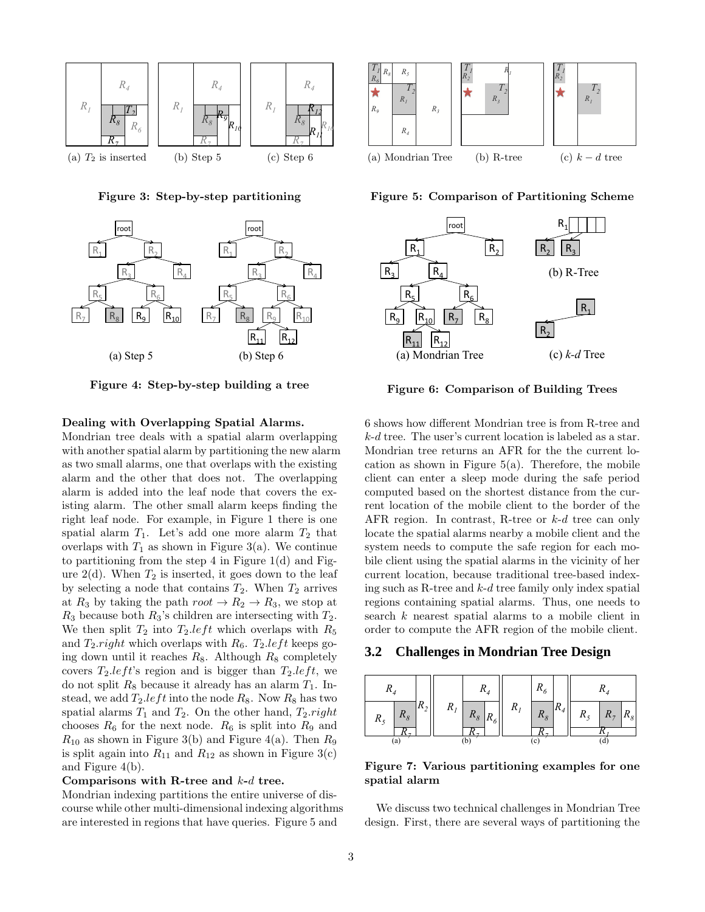

Figure 3: Step-by-step partitioning



Figure 4: Step-by-step building a tree

## Dealing with Overlapping Spatial Alarms.

Mondrian tree deals with a spatial alarm overlapping with another spatial alarm by partitioning the new alarm as two small alarms, one that overlaps with the existing alarm and the other that does not. The overlapping alarm is added into the leaf node that covers the existing alarm. The other small alarm keeps finding the right leaf node. For example, in Figure 1 there is one spatial alarm  $T_1$ . Let's add one more alarm  $T_2$  that overlaps with  $T_1$  as shown in Figure 3(a). We continue to partitioning from the step 4 in Figure 1(d) and Figure  $2(d)$ . When  $T_2$  is inserted, it goes down to the leaf by selecting a node that contains  $T_2$ . When  $T_2$  arrives at  $R_3$  by taking the path  $root \rightarrow R_2 \rightarrow R_3$ , we stop at  $R_3$  because both  $R_3$ 's children are intersecting with  $T_2$ . We then split  $T_2$  into  $T_2.left$  which overlaps with  $R_5$ and  $T_2$  right which overlaps with  $R_6$ .  $T_2$  left keeps going down until it reaches  $R_8$ . Although  $R_8$  completely covers  $T_2.left$ 's region and is bigger than  $T_2.left$ , we do not split  $R_8$  because it already has an alarm  $T_1$ . Instead, we add  $T_2.left$  into the node  $R_8$ . Now  $R_8$  has two spatial alarms  $T_1$  and  $T_2$ . On the other hand,  $T_2$ .right chooses  $R_6$  for the next node.  $R_6$  is split into  $R_9$  and  $R_{10}$  as shown in Figure 3(b) and Figure 4(a). Then  $R_9$ is split again into  $R_{11}$  and  $R_{12}$  as shown in Figure 3(c) and Figure 4(b).

#### Comparisons with R-tree and  $k-d$  tree.

Mondrian indexing partitions the entire universe of discourse while other multi-dimensional indexing algorithms are interested in regions that have queries. Figure 5 and



Figure 5: Comparison of Partitioning Scheme



Figure 6: Comparison of Building Trees

6 shows how different Mondrian tree is from R-tree and k-d tree. The user's current location is labeled as a star. Mondrian tree returns an AFR for the the current location as shown in Figure  $5(a)$ . Therefore, the mobile client can enter a sleep mode during the safe period computed based on the shortest distance from the current location of the mobile client to the border of the AFR region. In contrast, R-tree or k-d tree can only locate the spatial alarms nearby a mobile client and the system needs to compute the safe region for each mobile client using the spatial alarms in the vicinity of her current location, because traditional tree-based indexing such as R-tree and  $k-d$  tree family only index spatial regions containing spatial alarms. Thus, one needs to search k nearest spatial alarms to a mobile client in order to compute the AFR region of the mobile client.

### **3.2 Challenges in Mondrian Tree Design**



Figure 7: Various partitioning examples for one spatial alarm

We discuss two technical challenges in Mondrian Tree design. First, there are several ways of partitioning the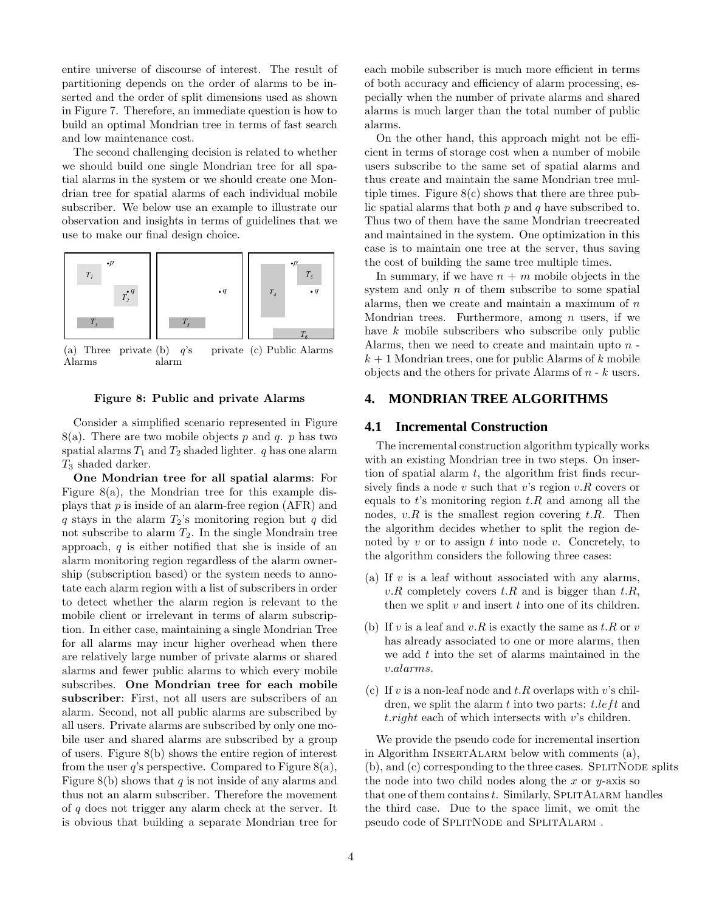entire universe of discourse of interest. The result of partitioning depends on the order of alarms to be inserted and the order of split dimensions used as shown in Figure 7. Therefore, an immediate question is how to build an optimal Mondrian tree in terms of fast search and low maintenance cost.

The second challenging decision is related to whether we should build one single Mondrian tree for all spatial alarms in the system or we should create one Mondrian tree for spatial alarms of each individual mobile subscriber. We below use an example to illustrate our observation and insights in terms of guidelines that we use to make our final design choice.



 $(a)$  Three Alarms private (b)  $q$ 's alarm (c) Public Alarms

#### Figure 8: Public and private Alarms

Consider a simplified scenario represented in Figure  $8(a)$ . There are two mobile objects p and q. p has two spatial alarms  $T_1$  and  $T_2$  shaded lighter. q has one alarm  $T_3$  shaded darker.

One Mondrian tree for all spatial alarms: For Figure 8(a), the Mondrian tree for this example displays that  $p$  is inside of an alarm-free region (AFR) and q stays in the alarm  $T_2$ 's monitoring region but q did not subscribe to alarm  $T_2$ . In the single Mondrain tree approach,  $q$  is either notified that she is inside of an alarm monitoring region regardless of the alarm ownership (subscription based) or the system needs to annotate each alarm region with a list of subscribers in order to detect whether the alarm region is relevant to the mobile client or irrelevant in terms of alarm subscription. In either case, maintaining a single Mondrian Tree for all alarms may incur higher overhead when there are relatively large number of private alarms or shared alarms and fewer public alarms to which every mobile subscribes. One Mondrian tree for each mobile subscriber: First, not all users are subscribers of an alarm. Second, not all public alarms are subscribed by all users. Private alarms are subscribed by only one mobile user and shared alarms are subscribed by a group of users. Figure 8(b) shows the entire region of interest from the user q's perspective. Compared to Figure 8(a), Figure 8(b) shows that q is not inside of any alarms and thus not an alarm subscriber. Therefore the movement of q does not trigger any alarm check at the server. It is obvious that building a separate Mondrian tree for

each mobile subscriber is much more efficient in terms of both accuracy and efficiency of alarm processing, especially when the number of private alarms and shared alarms is much larger than the total number of public alarms.

On the other hand, this approach might not be efficient in terms of storage cost when a number of mobile users subscribe to the same set of spatial alarms and thus create and maintain the same Mondrian tree multiple times. Figure  $8(c)$  shows that there are three public spatial alarms that both  $p$  and  $q$  have subscribed to. Thus two of them have the same Mondrian treecreated and maintained in the system. One optimization in this case is to maintain one tree at the server, thus saving the cost of building the same tree multiple times.

In summary, if we have  $n + m$  mobile objects in the system and only  $n$  of them subscribe to some spatial alarms, then we create and maintain a maximum of  $n$ Mondrian trees. Furthermore, among  $n$  users, if we have k mobile subscribers who subscribe only public Alarms, then we need to create and maintain upto  $n$  $k + 1$  Mondrian trees, one for public Alarms of k mobile objects and the others for private Alarms of  $n - k$  users.

# **4. MONDRIAN TREE ALGORITHMS**

## **4.1 Incremental Construction**

The incremental construction algorithm typically works with an existing Mondrian tree in two steps. On insertion of spatial alarm  $t$ , the algorithm frist finds recursively finds a node  $v$  such that  $v$ 's region  $v.R$  covers or equals to t's monitoring region  $t.R$  and among all the nodes,  $v.R$  is the smallest region covering  $t.R$ . Then the algorithm decides whether to split the region denoted by  $v$  or to assign  $t$  into node  $v$ . Concretely, to the algorithm considers the following three cases:

- (a) If  $v$  is a leaf without associated with any alarms, v.R completely covers  $t.R$  and is bigger than  $t.R$ , then we split  $v$  and insert  $t$  into one of its children.
- (b) If v is a leaf and v.R is exactly the same as  $t.R$  or  $v$ has already associated to one or more alarms, then we add  $t$  into the set of alarms maintained in the v.alarms.
- (c) If v is a non-leaf node and  $t.R$  overlaps with v's children, we split the alarm  $t$  into two parts:  $t.left$  and t.right each of which intersects with v's children.

We provide the pseudo code for incremental insertion in Algorithm INSERTALARM below with comments (a),  $(b)$ , and  $(c)$  corresponding to the three cases. SPLITNODE splits the node into two child nodes along the x or  $y$ -axis so that one of them contains  $t$ . Similarly, SPLITALARM handles the third case. Due to the space limit, we omit the pseudo code of SPLITNODE and SPLITALARM .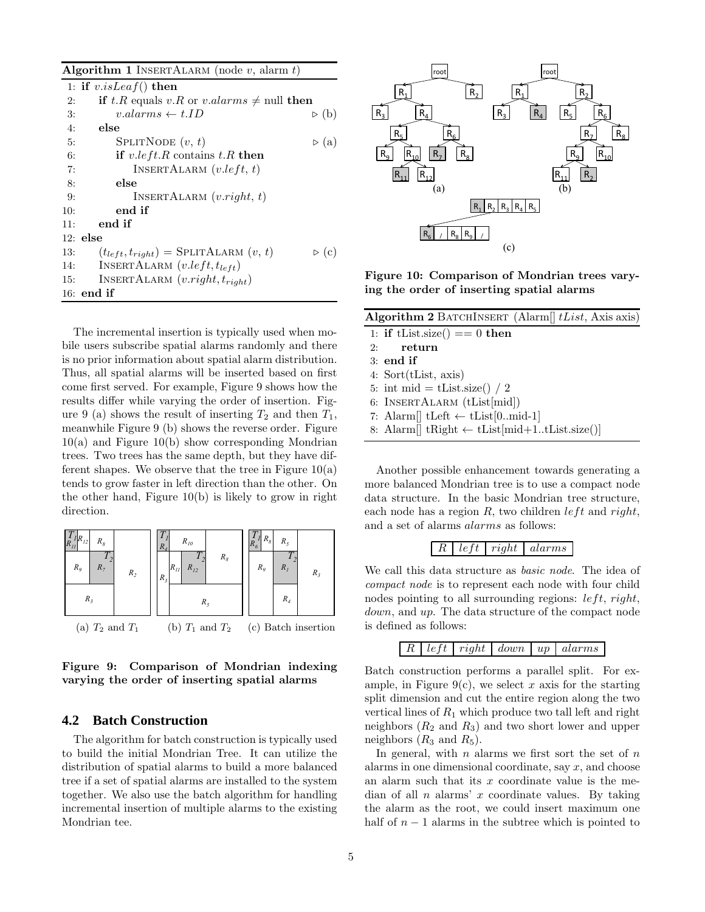Algorithm 1 INSERTALARM (node  $v$ , alarm  $t$ )

|     | 1: if $v.isLeaf()$ then                               |                      |  |
|-----|-------------------------------------------------------|----------------------|--|
| 2:  | <b>if</b> t.R equals v.R or v.alarms $\neq$ null then |                      |  |
| 3:  | $v. alarms \leftarrow t.ID$                           | $\triangleright$ (b) |  |
| 4:  | else                                                  |                      |  |
| 5:  | SPLITNODE $(v, t)$                                    | $\triangleright$ (a) |  |
| 6:  | if $v.left.R$ contains $t.R$ then                     |                      |  |
| 7:  | INSERTALARM $(v.left, t)$                             |                      |  |
| 8:  | else                                                  |                      |  |
| 9:  | INSERTALARM $(v.right, t)$                            |                      |  |
| 10: | end if                                                |                      |  |
| 11: | end if                                                |                      |  |
|     | $12:$ else                                            |                      |  |
| 13: | $(t_{left}, t_{right})$ = SPLITALARM $(v, t)$         | $\triangleright$ (c) |  |
| 14: | INSERTALARM $(v.left, t_{left})$                      |                      |  |
| 15: | INSERTALARM $(v.right, t_{right})$                    |                      |  |
|     | $16:$ end if                                          |                      |  |

The incremental insertion is typically used when mobile users subscribe spatial alarms randomly and there is no prior information about spatial alarm distribution. Thus, all spatial alarms will be inserted based on first come first served. For example, Figure 9 shows how the results differ while varying the order of insertion. Figure 9 (a) shows the result of inserting  $T_2$  and then  $T_1$ , meanwhile Figure 9 (b) shows the reverse order. Figure  $10(a)$  and Figure  $10(b)$  show corresponding Mondrian trees. Two trees has the same depth, but they have different shapes. We observe that the tree in Figure  $10(a)$ tends to grow faster in left direction than the other. On the other hand, Figure 10(b) is likely to grow in right direction.



Figure 9: Comparison of Mondrian indexing varying the order of inserting spatial alarms

## **4.2 Batch Construction**

The algorithm for batch construction is typically used to build the initial Mondrian Tree. It can utilize the distribution of spatial alarms to build a more balanced tree if a set of spatial alarms are installed to the system together. We also use the batch algorithm for handling incremental insertion of multiple alarms to the existing Mondrian tee.



Figure 10: Comparison of Mondrian trees varying the order of inserting spatial alarms

| Algorithm 2 BATCHINSERT (Alarm <sup>[]</sup> $tList$ , Axis axis) |                                                                     |  |  |  |  |
|-------------------------------------------------------------------|---------------------------------------------------------------------|--|--|--|--|
|                                                                   | 1: if tList.size() == 0 then                                        |  |  |  |  |
|                                                                   | $2:$ return                                                         |  |  |  |  |
|                                                                   | $3:$ end if                                                         |  |  |  |  |
|                                                                   | 4: $Sort(tList, axis)$                                              |  |  |  |  |
|                                                                   | 5: int mid = tList.size() / 2                                       |  |  |  |  |
|                                                                   | 6: INSERTALARM (tList[mid])                                         |  |  |  |  |
|                                                                   | 7: Alarm    tLeft $\leftarrow$ tList [0. mid-1]                     |  |  |  |  |
|                                                                   | 8: Alarm <sup>[]</sup> tRight $\leftarrow$ tList[mid+1tList.size()] |  |  |  |  |

Another possible enhancement towards generating a more balanced Mondrian tree is to use a compact node data structure. In the basic Mondrian tree structure, each node has a region  $R$ , two children *left* and *right*, and a set of alarms alarms as follows:



We call this data structure as basic node. The idea of compact node is to represent each node with four child nodes pointing to all surrounding regions:  $left$ , right, down, and up. The data structure of the compact node is defined as follows:

 $R \mid left \mid right \mid down \mid up \mid alarms$ 

Batch construction performs a parallel split. For example, in Figure 9(c), we select x axis for the starting split dimension and cut the entire region along the two vertical lines of  $R_1$  which produce two tall left and right neighbors  $(R_2 \text{ and } R_3)$  and two short lower and upper neighbors  $(R_3 \text{ and } R_5)$ .

In general, with  $n$  alarms we first sort the set of  $n$ alarms in one dimensional coordinate, say  $x$ , and choose an alarm such that its  $x$  coordinate value is the median of all  $n$  alarms'  $x$  coordinate values. By taking the alarm as the root, we could insert maximum one half of  $n-1$  alarms in the subtree which is pointed to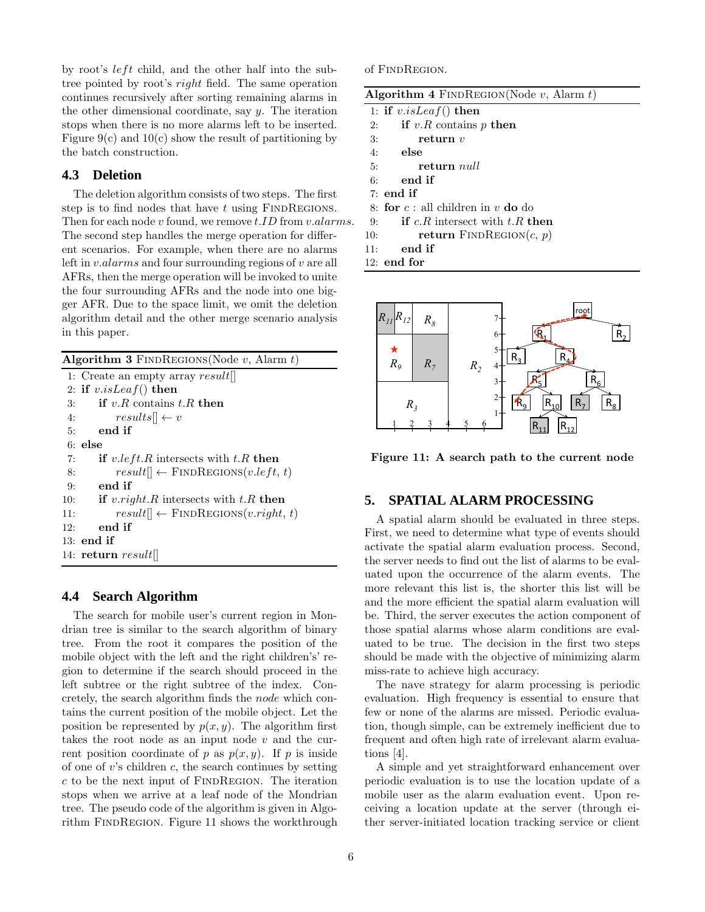by root's  $left$  child, and the other half into the subtree pointed by root's right field. The same operation continues recursively after sorting remaining alarms in the other dimensional coordinate, say y. The iteration stops when there is no more alarms left to be inserted. Figure  $9(c)$  and  $10(c)$  show the result of partitioning by the batch construction.

### **4.3 Deletion**

The deletion algorithm consists of two steps. The first step is to find nodes that have  $t$  using FINDREGIONS. Then for each node v found, we remove  $t.ID$  from  $v.alarms$ . The second step handles the merge operation for different scenarios. For example, when there are no alarms left in v.alarms and four surrounding regions of v are all AFRs, then the merge operation will be invoked to unite the four surrounding AFRs and the node into one bigger AFR. Due to the space limit, we omit the deletion algorithm detail and the other merge scenario analysis in this paper.

Algorithm 3 FINDREGIONS (Node  $v$ , Alarm  $t$ ) 1: Create an empty array result[] 2: if  $v.isLeaf()$  then 3: if  $v.R$  contains  $t.R$  then 4:  $results|| \leftarrow v$ 5: end if 6: else 7: if  $v.left.R$  intersects with  $t.R$  then 8:  $result|| \leftarrow \text{FINDREGIONS}(v.left, t)$ 9: end if 10: if v.right.R intersects with  $t.R$  then 11:  $result[] \leftarrow \text{FINDREGIONS}(v.right, t)$ 12: end if 13: end if 14: return  $result[]$ 

## **4.4 Search Algorithm**

The search for mobile user's current region in Mondrian tree is similar to the search algorithm of binary tree. From the root it compares the position of the mobile object with the left and the right children's' region to determine if the search should proceed in the left subtree or the right subtree of the index. Concretely, the search algorithm finds the node which contains the current position of the mobile object. Let the position be represented by  $p(x, y)$ . The algorithm first takes the root node as an input node  $v$  and the current position coordinate of p as  $p(x, y)$ . If p is inside of one of  $v$ 's children  $c$ , the search continues by setting  $c$  to be the next input of FINDREGION. The iteration stops when we arrive at a leaf node of the Mondrian tree. The pseudo code of the algorithm is given in Algorithm FINDREGION. Figure 11 shows the workthrough of FINDREGION.

| <b>Algorithm 4</b> FINDREGION(Node $v$ , Alarm $t$ ) |                                                                     |  |  |  |  |
|------------------------------------------------------|---------------------------------------------------------------------|--|--|--|--|
|                                                      | 1: if $v.isLeaf()$ then                                             |  |  |  |  |
| 2:                                                   | if $v.R$ contains p then                                            |  |  |  |  |
| 3:                                                   | return $v$                                                          |  |  |  |  |
|                                                      | $4:$ else                                                           |  |  |  |  |
|                                                      | 5: return <i>null</i>                                               |  |  |  |  |
| 6:                                                   | end if                                                              |  |  |  |  |
|                                                      | $7:$ end if                                                         |  |  |  |  |
|                                                      | 8: for $c:$ all children in v do do                                 |  |  |  |  |
| 9:                                                   | <b>if</b> c <sub>n</sub> $R$ intersect with t <sub>n</sub> $R$ then |  |  |  |  |
| 10:                                                  | <b>return</b> FINDREGION $(c, p)$                                   |  |  |  |  |
| 11:                                                  | end if                                                              |  |  |  |  |
|                                                      | $12:$ end for                                                       |  |  |  |  |



Figure 11: A search path to the current node

# **5. SPATIAL ALARM PROCESSING**

A spatial alarm should be evaluated in three steps. First, we need to determine what type of events should activate the spatial alarm evaluation process. Second, the server needs to find out the list of alarms to be evaluated upon the occurrence of the alarm events. The more relevant this list is, the shorter this list will be and the more efficient the spatial alarm evaluation will be. Third, the server executes the action component of those spatial alarms whose alarm conditions are evaluated to be true. The decision in the first two steps should be made with the objective of minimizing alarm miss-rate to achieve high accuracy.

The nave strategy for alarm processing is periodic evaluation. High frequency is essential to ensure that few or none of the alarms are missed. Periodic evaluation, though simple, can be extremely inefficient due to frequent and often high rate of irrelevant alarm evaluations [4].

A simple and yet straightforward enhancement over periodic evaluation is to use the location update of a mobile user as the alarm evaluation event. Upon receiving a location update at the server (through either server-initiated location tracking service or client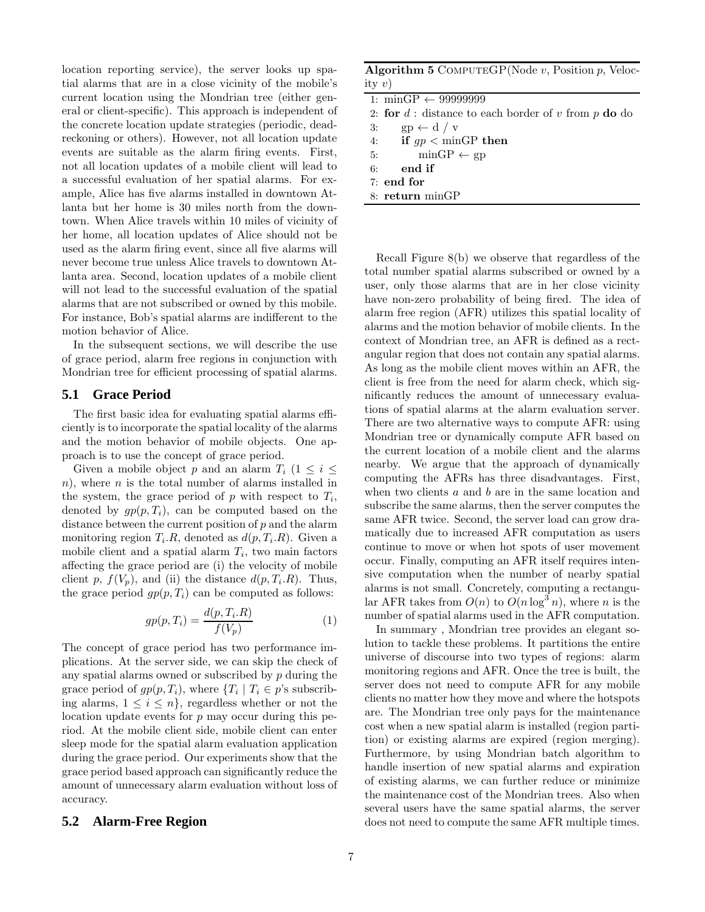location reporting service), the server looks up spatial alarms that are in a close vicinity of the mobile's current location using the Mondrian tree (either general or client-specific). This approach is independent of the concrete location update strategies (periodic, deadreckoning or others). However, not all location update events are suitable as the alarm firing events. First, not all location updates of a mobile client will lead to a successful evaluation of her spatial alarms. For example, Alice has five alarms installed in downtown Atlanta but her home is 30 miles north from the downtown. When Alice travels within 10 miles of vicinity of her home, all location updates of Alice should not be used as the alarm firing event, since all five alarms will never become true unless Alice travels to downtown Atlanta area. Second, location updates of a mobile client will not lead to the successful evaluation of the spatial alarms that are not subscribed or owned by this mobile. For instance, Bob's spatial alarms are indifferent to the motion behavior of Alice.

In the subsequent sections, we will describe the use of grace period, alarm free regions in conjunction with Mondrian tree for efficient processing of spatial alarms.

## **5.1 Grace Period**

The first basic idea for evaluating spatial alarms efficiently is to incorporate the spatial locality of the alarms and the motion behavior of mobile objects. One approach is to use the concept of grace period.

Given a mobile object p and an alarm  $T_i$  ( $1 \leq i \leq$ n), where n is the total number of alarms installed in the system, the grace period of  $p$  with respect to  $T_i$ , denoted by  $qp(p,T_i)$ , can be computed based on the distance between the current position of  $p$  and the alarm monitoring region  $T_i.R$ , denoted as  $d(p, T_i.R)$ . Given a mobile client and a spatial alarm  $T_i$ , two main factors affecting the grace period are (i) the velocity of mobile client p,  $f(V_p)$ , and (ii) the distance  $d(p, T_i.R)$ . Thus, the grace period  $gp(p, T_i)$  can be computed as follows:

$$
gp(p, T_i) = \frac{d(p, T_i.R)}{f(V_p)}
$$
\n<sup>(1)</sup>

The concept of grace period has two performance implications. At the server side, we can skip the check of any spatial alarms owned or subscribed by p during the grace period of  $gp(p,T_i)$ , where  $\{T_i \mid T_i \in p\text{'s subscrib-}$ ing alarms,  $1 \leq i \leq n$ , regardless whether or not the location update events for p may occur during this period. At the mobile client side, mobile client can enter sleep mode for the spatial alarm evaluation application during the grace period. Our experiments show that the grace period based approach can significantly reduce the amount of unnecessary alarm evaluation without loss of accuracy.

#### **5.2 Alarm-Free Region**

|          | <b>Algorithm 5</b> COMPUTEGP(Node $v$ , Position $p$ , Veloc- |  |  |
|----------|---------------------------------------------------------------|--|--|
| ity $v)$ |                                                               |  |  |

| 1: minGP $\leftarrow$ 999999999                            |  |  |
|------------------------------------------------------------|--|--|
| 2: for $d$ : distance to each border of $v$ from $p$ do do |  |  |
| $gp \leftarrow d / v$<br>3:                                |  |  |
| 4: if $qp < \text{minGP}$ then                             |  |  |
| 5: $\text{minGP} \leftarrow \text{gp}$                     |  |  |
| $6:$ end if                                                |  |  |
| $7:$ end for                                               |  |  |
| $8:$ return $minGP$                                        |  |  |
|                                                            |  |  |

Recall Figure 8(b) we observe that regardless of the total number spatial alarms subscribed or owned by a user, only those alarms that are in her close vicinity have non-zero probability of being fired. The idea of alarm free region (AFR) utilizes this spatial locality of alarms and the motion behavior of mobile clients. In the context of Mondrian tree, an AFR is defined as a rectangular region that does not contain any spatial alarms. As long as the mobile client moves within an AFR, the client is free from the need for alarm check, which significantly reduces the amount of unnecessary evaluations of spatial alarms at the alarm evaluation server. There are two alternative ways to compute AFR: using Mondrian tree or dynamically compute AFR based on the current location of a mobile client and the alarms nearby. We argue that the approach of dynamically computing the AFRs has three disadvantages. First, when two clients a and b are in the same location and subscribe the same alarms, then the server computes the same AFR twice. Second, the server load can grow dramatically due to increased AFR computation as users continue to move or when hot spots of user movement occur. Finally, computing an AFR itself requires intensive computation when the number of nearby spatial alarms is not small. Concretely, computing a rectangular AFR takes from  $O(n)$  to  $O(n \log^3 n)$ , where n is the number of spatial alarms used in the AFR computation.

In summary , Mondrian tree provides an elegant solution to tackle these problems. It partitions the entire universe of discourse into two types of regions: alarm monitoring regions and AFR. Once the tree is built, the server does not need to compute AFR for any mobile clients no matter how they move and where the hotspots are. The Mondrian tree only pays for the maintenance cost when a new spatial alarm is installed (region partition) or existing alarms are expired (region merging). Furthermore, by using Mondrian batch algorithm to handle insertion of new spatial alarms and expiration of existing alarms, we can further reduce or minimize the maintenance cost of the Mondrian trees. Also when several users have the same spatial alarms, the server does not need to compute the same AFR multiple times.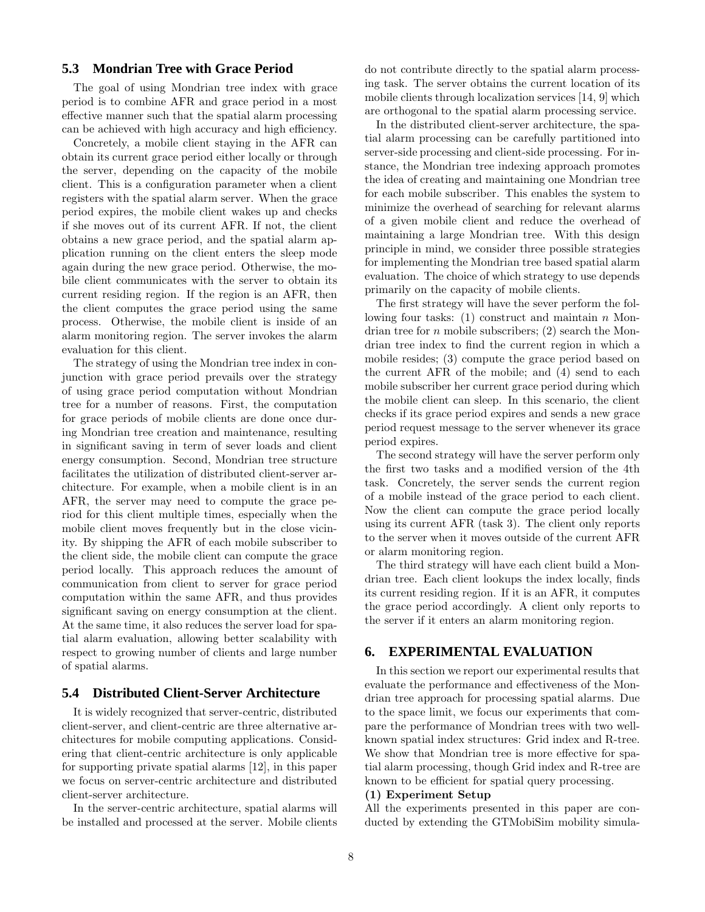## **5.3 Mondrian Tree with Grace Period**

The goal of using Mondrian tree index with grace period is to combine AFR and grace period in a most effective manner such that the spatial alarm processing can be achieved with high accuracy and high efficiency.

Concretely, a mobile client staying in the AFR can obtain its current grace period either locally or through the server, depending on the capacity of the mobile client. This is a configuration parameter when a client registers with the spatial alarm server. When the grace period expires, the mobile client wakes up and checks if she moves out of its current AFR. If not, the client obtains a new grace period, and the spatial alarm application running on the client enters the sleep mode again during the new grace period. Otherwise, the mobile client communicates with the server to obtain its current residing region. If the region is an AFR, then the client computes the grace period using the same process. Otherwise, the mobile client is inside of an alarm monitoring region. The server invokes the alarm evaluation for this client.

The strategy of using the Mondrian tree index in conjunction with grace period prevails over the strategy of using grace period computation without Mondrian tree for a number of reasons. First, the computation for grace periods of mobile clients are done once during Mondrian tree creation and maintenance, resulting in significant saving in term of sever loads and client energy consumption. Second, Mondrian tree structure facilitates the utilization of distributed client-server architecture. For example, when a mobile client is in an AFR, the server may need to compute the grace period for this client multiple times, especially when the mobile client moves frequently but in the close vicinity. By shipping the AFR of each mobile subscriber to the client side, the mobile client can compute the grace period locally. This approach reduces the amount of communication from client to server for grace period computation within the same AFR, and thus provides significant saving on energy consumption at the client. At the same time, it also reduces the server load for spatial alarm evaluation, allowing better scalability with respect to growing number of clients and large number of spatial alarms.

## **5.4 Distributed Client-Server Architecture**

It is widely recognized that server-centric, distributed client-server, and client-centric are three alternative architectures for mobile computing applications. Considering that client-centric architecture is only applicable for supporting private spatial alarms [12], in this paper we focus on server-centric architecture and distributed client-server architecture.

In the server-centric architecture, spatial alarms will be installed and processed at the server. Mobile clients do not contribute directly to the spatial alarm processing task. The server obtains the current location of its mobile clients through localization services [14, 9] which are orthogonal to the spatial alarm processing service.

In the distributed client-server architecture, the spatial alarm processing can be carefully partitioned into server-side processing and client-side processing. For instance, the Mondrian tree indexing approach promotes the idea of creating and maintaining one Mondrian tree for each mobile subscriber. This enables the system to minimize the overhead of searching for relevant alarms of a given mobile client and reduce the overhead of maintaining a large Mondrian tree. With this design principle in mind, we consider three possible strategies for implementing the Mondrian tree based spatial alarm evaluation. The choice of which strategy to use depends primarily on the capacity of mobile clients.

The first strategy will have the sever perform the following four tasks:  $(1)$  construct and maintain n Mondrian tree for  $n$  mobile subscribers; (2) search the Mondrian tree index to find the current region in which a mobile resides; (3) compute the grace period based on the current AFR of the mobile; and (4) send to each mobile subscriber her current grace period during which the mobile client can sleep. In this scenario, the client checks if its grace period expires and sends a new grace period request message to the server whenever its grace period expires.

The second strategy will have the server perform only the first two tasks and a modified version of the 4th task. Concretely, the server sends the current region of a mobile instead of the grace period to each client. Now the client can compute the grace period locally using its current AFR (task 3). The client only reports to the server when it moves outside of the current AFR or alarm monitoring region.

The third strategy will have each client build a Mondrian tree. Each client lookups the index locally, finds its current residing region. If it is an AFR, it computes the grace period accordingly. A client only reports to the server if it enters an alarm monitoring region.

## **6. EXPERIMENTAL EVALUATION**

In this section we report our experimental results that evaluate the performance and effectiveness of the Mondrian tree approach for processing spatial alarms. Due to the space limit, we focus our experiments that compare the performance of Mondrian trees with two wellknown spatial index structures: Grid index and R-tree. We show that Mondrian tree is more effective for spatial alarm processing, though Grid index and R-tree are known to be efficient for spatial query processing.

#### (1) Experiment Setup

All the experiments presented in this paper are conducted by extending the GTMobiSim mobility simula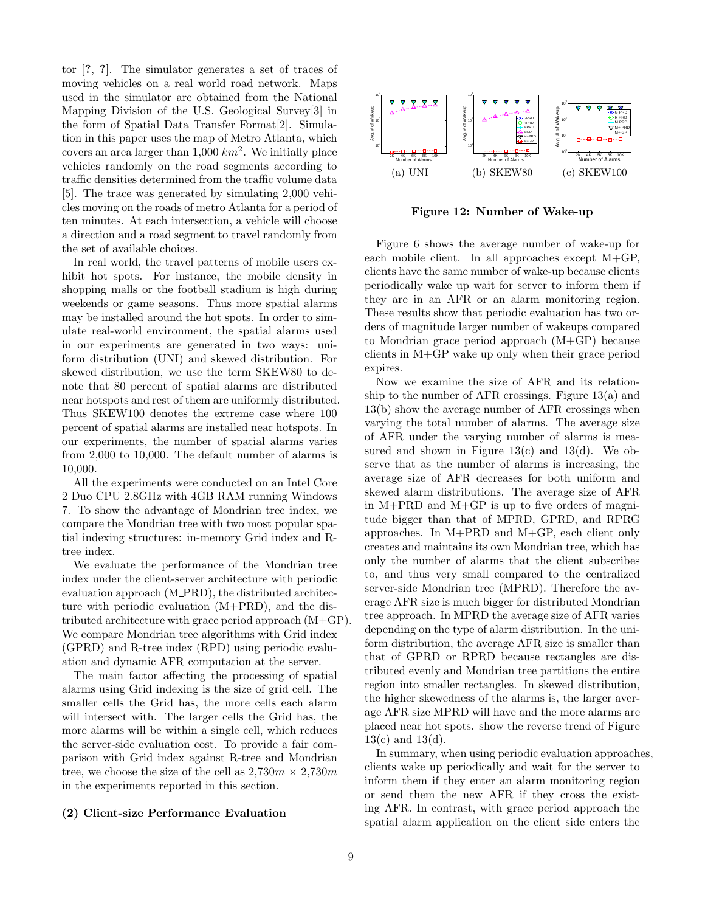tor [?, ?]. The simulator generates a set of traces of moving vehicles on a real world road network. Maps used in the simulator are obtained from the National Mapping Division of the U.S. Geological Survey[3] in the form of Spatial Data Transfer Format[2]. Simulation in this paper uses the map of Metro Atlanta, which covers an area larger than  $1,000 \ km^2$ . We initially place vehicles randomly on the road segments according to traffic densities determined from the traffic volume data [5]. The trace was generated by simulating 2,000 vehicles moving on the roads of metro Atlanta for a period of ten minutes. At each intersection, a vehicle will choose a direction and a road segment to travel randomly from the set of available choices.

In real world, the travel patterns of mobile users exhibit hot spots. For instance, the mobile density in shopping malls or the football stadium is high during weekends or game seasons. Thus more spatial alarms may be installed around the hot spots. In order to simulate real-world environment, the spatial alarms used in our experiments are generated in two ways: uniform distribution (UNI) and skewed distribution. For skewed distribution, we use the term SKEW80 to denote that 80 percent of spatial alarms are distributed near hotspots and rest of them are uniformly distributed. Thus SKEW100 denotes the extreme case where 100 percent of spatial alarms are installed near hotspots. In our experiments, the number of spatial alarms varies from 2,000 to 10,000. The default number of alarms is 10,000.

All the experiments were conducted on an Intel Core 2 Duo CPU 2.8GHz with 4GB RAM running Windows 7. To show the advantage of Mondrian tree index, we compare the Mondrian tree with two most popular spatial indexing structures: in-memory Grid index and Rtree index.

We evaluate the performance of the Mondrian tree index under the client-server architecture with periodic evaluation approach (M PRD), the distributed architecture with periodic evaluation (M+PRD), and the distributed architecture with grace period approach (M+GP). We compare Mondrian tree algorithms with Grid index (GPRD) and R-tree index (RPD) using periodic evaluation and dynamic AFR computation at the server.

The main factor affecting the processing of spatial alarms using Grid indexing is the size of grid cell. The smaller cells the Grid has, the more cells each alarm will intersect with. The larger cells the Grid has, the more alarms will be within a single cell, which reduces the server-side evaluation cost. To provide a fair comparison with Grid index against R-tree and Mondrian tree, we choose the size of the cell as  $2{,}730m \times 2{,}730m$ in the experiments reported in this section.

#### (2) Client-size Performance Evaluation



Figure 12: Number of Wake-up

Figure 6 shows the average number of wake-up for each mobile client. In all approaches except M+GP, clients have the same number of wake-up because clients periodically wake up wait for server to inform them if they are in an AFR or an alarm monitoring region. These results show that periodic evaluation has two orders of magnitude larger number of wakeups compared to Mondrian grace period approach (M+GP) because clients in M+GP wake up only when their grace period expires.

Now we examine the size of AFR and its relationship to the number of AFR crossings. Figure 13(a) and 13(b) show the average number of AFR crossings when varying the total number of alarms. The average size of AFR under the varying number of alarms is measured and shown in Figure  $13(c)$  and  $13(d)$ . We observe that as the number of alarms is increasing, the average size of AFR decreases for both uniform and skewed alarm distributions. The average size of AFR in M+PRD and M+GP is up to five orders of magnitude bigger than that of MPRD, GPRD, and RPRG approaches. In M+PRD and M+GP, each client only creates and maintains its own Mondrian tree, which has only the number of alarms that the client subscribes to, and thus very small compared to the centralized server-side Mondrian tree (MPRD). Therefore the average AFR size is much bigger for distributed Mondrian tree approach. In MPRD the average size of AFR varies depending on the type of alarm distribution. In the uniform distribution, the average AFR size is smaller than that of GPRD or RPRD because rectangles are distributed evenly and Mondrian tree partitions the entire region into smaller rectangles. In skewed distribution, the higher skewedness of the alarms is, the larger average AFR size MPRD will have and the more alarms are placed near hot spots. show the reverse trend of Figure  $13(c)$  and  $13(d)$ .

In summary, when using periodic evaluation approaches, clients wake up periodically and wait for the server to inform them if they enter an alarm monitoring region or send them the new AFR if they cross the existing AFR. In contrast, with grace period approach the spatial alarm application on the client side enters the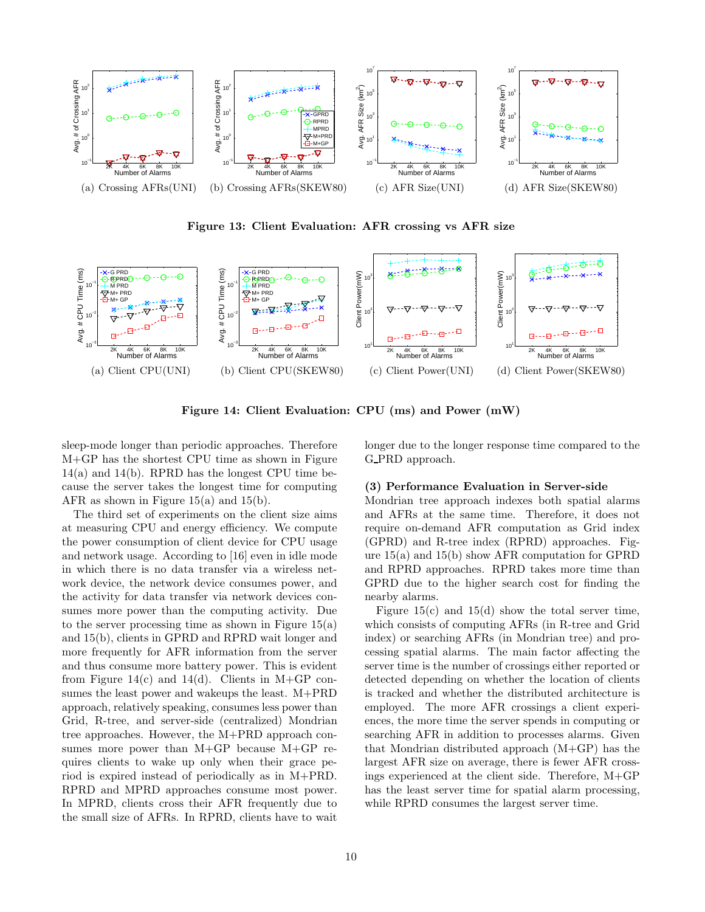

Figure 13: Client Evaluation: AFR crossing vs AFR size



Figure 14: Client Evaluation: CPU (ms) and Power (mW)

sleep-mode longer than periodic approaches. Therefore M+GP has the shortest CPU time as shown in Figure 14(a) and 14(b). RPRD has the longest CPU time because the server takes the longest time for computing AFR as shown in Figure 15(a) and 15(b).

The third set of experiments on the client size aims at measuring CPU and energy efficiency. We compute the power consumption of client device for CPU usage and network usage. According to [16] even in idle mode in which there is no data transfer via a wireless network device, the network device consumes power, and the activity for data transfer via network devices consumes more power than the computing activity. Due to the server processing time as shown in Figure  $15(a)$ and 15(b), clients in GPRD and RPRD wait longer and more frequently for AFR information from the server and thus consume more battery power. This is evident from Figure 14(c) and 14(d). Clients in M+GP consumes the least power and wakeups the least. M+PRD approach, relatively speaking, consumes less power than Grid, R-tree, and server-side (centralized) Mondrian tree approaches. However, the M+PRD approach consumes more power than M+GP because M+GP requires clients to wake up only when their grace period is expired instead of periodically as in M+PRD. RPRD and MPRD approaches consume most power. In MPRD, clients cross their AFR frequently due to the small size of AFRs. In RPRD, clients have to wait

longer due to the longer response time compared to the G PRD approach.

#### (3) Performance Evaluation in Server-side

Mondrian tree approach indexes both spatial alarms and AFRs at the same time. Therefore, it does not require on-demand AFR computation as Grid index (GPRD) and R-tree index (RPRD) approaches. Figure 15(a) and 15(b) show AFR computation for GPRD and RPRD approaches. RPRD takes more time than GPRD due to the higher search cost for finding the nearby alarms.

Figure  $15(c)$  and  $15(d)$  show the total server time, which consists of computing AFRs (in R-tree and Grid index) or searching AFRs (in Mondrian tree) and processing spatial alarms. The main factor affecting the server time is the number of crossings either reported or detected depending on whether the location of clients is tracked and whether the distributed architecture is employed. The more AFR crossings a client experiences, the more time the server spends in computing or searching AFR in addition to processes alarms. Given that Mondrian distributed approach (M+GP) has the largest AFR size on average, there is fewer AFR crossings experienced at the client side. Therefore, M+GP has the least server time for spatial alarm processing, while RPRD consumes the largest server time.